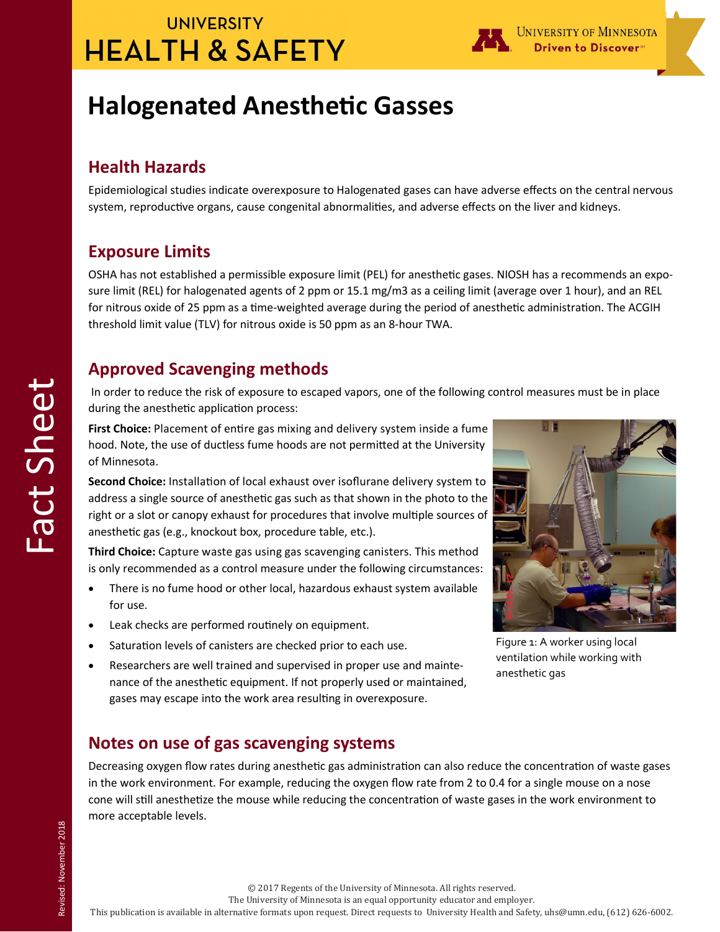# **UNIVERSITY HEALTH & SAFETY**



# **Halogenated Anesthetic Gasses**

### **Health Hazards**

Epidemiological studies indicate overexposure to Halogenated gases can have adverse effects on the central nervous system, reproductive organs, cause congenital abnormalities, and adverse effects on the liver and kidneys.

### **Exposure Limits**

OSHA has not established a permissible exposure limit (PEL) for anesthetic gases. NIOSH has a recommends an exposure limit (REL) for halogenated agents of 2 ppm or 15.1 mg/m3 as a ceiling limit (average over 1 hour), and an REL for nitrous oxide of 25 ppm as a time-weighted average during the period of anesthetic administration. The ACGIH threshold limit value (TLV) for nitrous oxide is 50 ppm as an 8-hour TWA.

### **Approved Scavenging methods**

In order to reduce the risk of exposure to escaped vapors, one of the following control measures must be in place during the anesthetic application process:

**First Choice:** Placement of entire gas mixing and delivery system inside a fume hood. Note, the use of ductless fume hoods are not permitted at the University of Minnesota.

**Second Choice:** Installation of local exhaust over isoflurane delivery system to address a single source of anesthetic gas such as that shown in the photo to the right or a slot or canopy exhaust for procedures that involve multiple sources of anesthetic gas (e.g., knockout box, procedure table, etc.).

**Third Choice:** Capture waste gas using gas scavenging canisters. This method is only recommended as a control measure under the following circumstances:

- There is no fume hood or other local, hazardous exhaust system available for use.
- Leak checks are performed routinely on equipment.
- Saturation levels of canisters are checked prior to each use.
- Researchers are well trained and supervised in proper use and maintenance of the anesthetic equipment. If not properly used or maintained, gases may escape into the work area resulting in overexposure.



Figure 1: A worker using local ventilation while working with anesthetic gas

### **Notes on use of gas scavenging systems**

Decreasing oxygen flow rates during anesthetic gas administration can also reduce the concentration of waste gases in the work environment. For example, reducing the oxygen flow rate from 2 to 0.4 for a single mouse on a nose cone will still anesthetize the mouse while reducing the concentration of waste gases in the work environment to more acceptable levels.

Revised: November 2018 Revised: November 2018

© 2017 Regents of the University of Minnesota. All rights reserved.

The University of Minnesota is an equal opportunity educator and employer.

This publication is available in alternative formats upon request. Direct requests to University Health and Safety, uhs@umn.edu, (612) 626-6002.